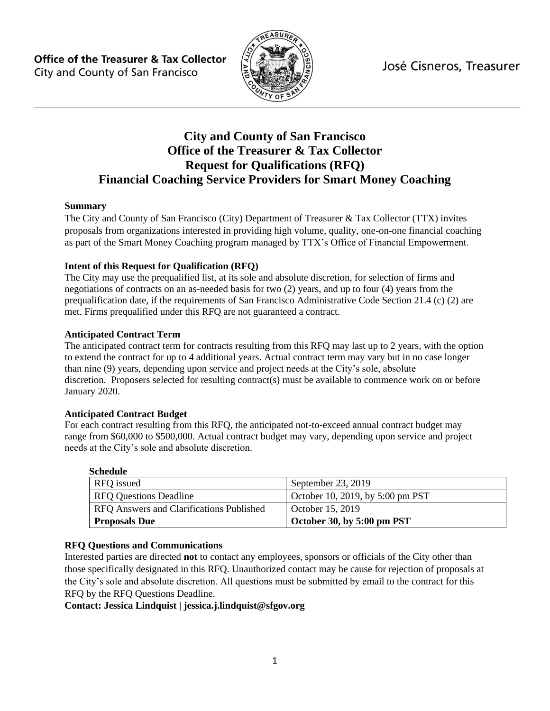José Cisneros, Treasurer

**Office of the Treasurer & Tax Collector** City and County of San Francisco



# **City and County of San Francisco Office of the Treasurer & Tax Collector Request for Qualifications (RFQ) Financial Coaching Service Providers for Smart Money Coaching**

#### **Summary**

The City and County of San Francisco (City) Department of Treasurer & Tax Collector (TTX) invites proposals from organizations interested in providing high volume, quality, one-on-one financial coaching as part of the Smart Money Coaching program managed by TTX's Office of Financial Empowerment.

#### **Intent of this Request for Qualification (RFQ)**

The City may use the prequalified list, at its sole and absolute discretion, for selection of firms and negotiations of contracts on an as-needed basis for two (2) years, and up to four (4) years from the prequalification date, if the requirements of San Francisco Administrative Code Section 21.4 (c) (2) are met. Firms prequalified under this RFQ are not guaranteed a contract.

#### **Anticipated Contract Term**

The anticipated contract term for contracts resulting from this RFQ may last up to 2 years, with the option to extend the contract for up to 4 additional years. Actual contract term may vary but in no case longer than nine (9) years, depending upon service and project needs at the City's sole, absolute discretion. Proposers selected for resulting contract(s) must be available to commence work on or before January 2020.

#### **Anticipated Contract Budget**

For each contract resulting from this RFQ, the anticipated not-to-exceed annual contract budget may range from \$60,000 to \$500,000. Actual contract budget may vary, depending upon service and project needs at the City's sole and absolute discretion.

#### **Schedule**

| RFQ issued                               | September 23, 2019               |
|------------------------------------------|----------------------------------|
| <b>RFO Questions Deadline</b>            | October 10, 2019, by 5:00 pm PST |
| RFQ Answers and Clarifications Published | October 15, 2019                 |
| <b>Proposals Due</b>                     | October 30, by 5:00 pm PST       |

#### **RFQ Questions and Communications**

Interested parties are directed **not** to contact any employees, sponsors or officials of the City other than those specifically designated in this RFQ. Unauthorized contact may be cause for rejection of proposals at the City's sole and absolute discretion. All questions must be submitted by email to the contract for this RFQ by the RFQ Questions Deadline.

#### <span id="page-0-0"></span>**Contact: Jessica Lindquist | jessica.j.lindquist@sfgov.org**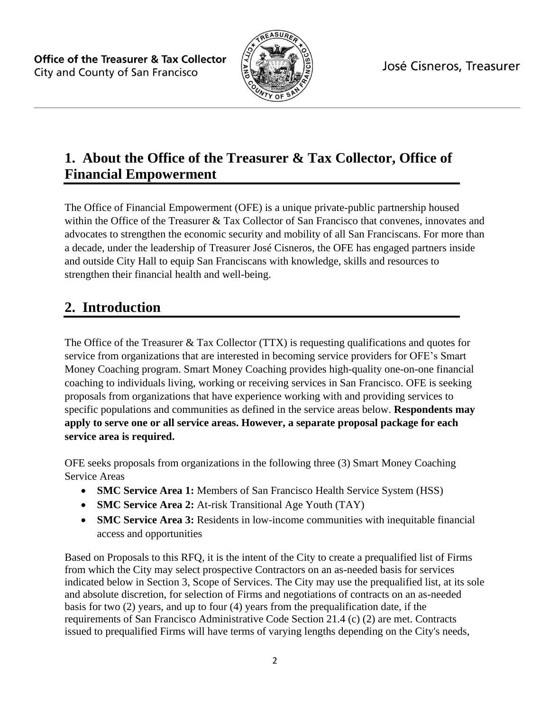

# **1. About the Office of the Treasurer & Tax Collector, Office of Financial Empowerment**

The Office of Financial Empowerment (OFE) is a unique private-public partnership housed within the Office of the Treasurer & Tax Collector of San Francisco that convenes, innovates and advocates to strengthen the economic security and mobility of all San Franciscans. For more than a decade, under the leadership of Treasurer José Cisneros, the OFE has engaged partners inside and outside City Hall to equip San Franciscans with knowledge, skills and resources to strengthen their financial health and well-being.

# **2. Introduction**

The Office of the Treasurer & Tax Collector (TTX) is requesting qualifications and quotes for service from organizations that are interested in becoming service providers for OFE's Smart Money Coaching program. Smart Money Coaching provides high-quality one-on-one financial coaching to individuals living, working or receiving services in San Francisco. OFE is seeking proposals from organizations that have experience working with and providing services to specific populations and communities as defined in the service areas below. **Respondents may apply to serve one or all service areas. However, a separate proposal package for each service area is required.**

OFE seeks proposals from organizations in the following three (3) Smart Money Coaching Service Areas

- **SMC Service Area 1:** Members of San Francisco Health Service System (HSS)
- **SMC Service Area 2:** At-risk Transitional Age Youth (TAY)
- **SMC Service Area 3:** Residents in low-income communities with inequitable financial access and opportunities

Based on Proposals to this RFQ, it is the intent of the City to create a prequalified list of Firms from which the City may select prospective Contractors on an as-needed basis for services indicated below in Section 3, Scope of Services. The City may use the prequalified list, at its sole and absolute discretion, for selection of Firms and negotiations of contracts on an as-needed basis for two (2) years, and up to four (4) years from the prequalification date, if the requirements of San Francisco Administrative Code Section 21.4 (c) (2) are met. Contracts issued to prequalified Firms will have terms of varying lengths depending on the City's needs,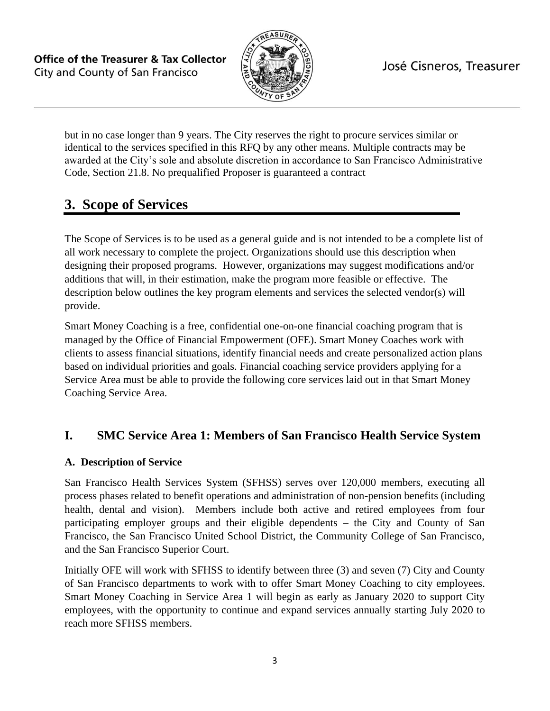

but in no case longer than 9 years. The City reserves the right to procure services similar or identical to the services specified in this RFQ by any other means. Multiple contracts may be awarded at the City's sole and absolute discretion in accordance to San Francisco Administrative Code, Section 21.8. No prequalified Proposer is guaranteed a contract

# **3. Scope of Services**

The Scope of Services is to be used as a general guide and is not intended to be a complete list of all work necessary to complete the project. Organizations should use this description when designing their proposed programs. However, organizations may suggest modifications and/or additions that will, in their estimation, make the program more feasible or effective. The description below outlines the key program elements and services the selected vendor(s) will provide.

Smart Money Coaching is a free, confidential one-on-one financial coaching program that is managed by the Office of Financial Empowerment (OFE). Smart Money Coaches work with clients to assess financial situations, identify financial needs and create personalized action plans based on individual priorities and goals. Financial coaching service providers applying for a Service Area must be able to provide the following core services laid out in that Smart Money Coaching Service Area.

# **I. SMC Service Area 1: Members of San Francisco Health Service System**

# **A. Description of Service**

San Francisco Health Services System (SFHSS) serves over 120,000 members, executing all process phases related to benefit operations and administration of non-pension benefits (including health, dental and vision). Members include both active and retired employees from four participating employer groups and their eligible dependents – the City and County of San Francisco, the San Francisco United School District, the Community College of San Francisco, and the San Francisco Superior Court.

Initially OFE will work with SFHSS to identify between three (3) and seven (7) City and County of San Francisco departments to work with to offer Smart Money Coaching to city employees. Smart Money Coaching in Service Area 1 will begin as early as January 2020 to support City employees, with the opportunity to continue and expand services annually starting July 2020 to reach more SFHSS members.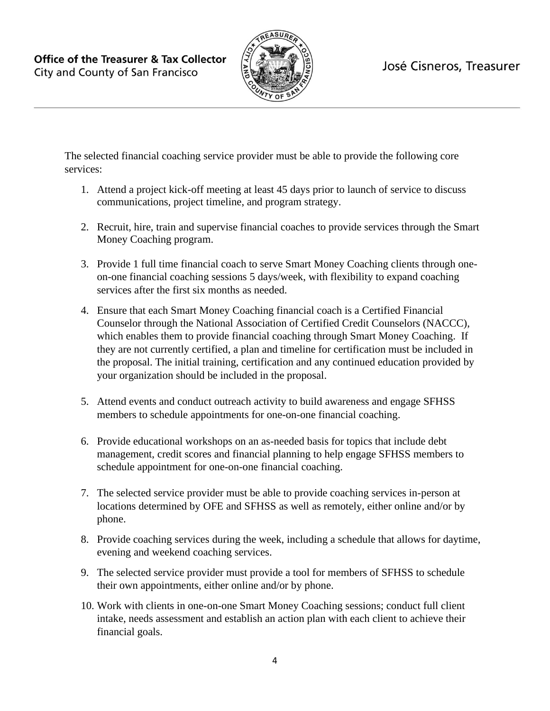

The selected financial coaching service provider must be able to provide the following core services:

- 1. Attend a project kick-off meeting at least 45 days prior to launch of service to discuss communications, project timeline, and program strategy.
- 2. Recruit, hire, train and supervise financial coaches to provide services through the Smart Money Coaching program.
- 3. Provide 1 full time financial coach to serve Smart Money Coaching clients through oneon-one financial coaching sessions 5 days/week, with flexibility to expand coaching services after the first six months as needed.
- 4. Ensure that each Smart Money Coaching financial coach is a Certified Financial Counselor through the National Association of Certified Credit Counselors (NACCC), which enables them to provide financial coaching through Smart Money Coaching. If they are not currently certified, a plan and timeline for certification must be included in the proposal. The initial training, certification and any continued education provided by your organization should be included in the proposal.
- 5. Attend events and conduct outreach activity to build awareness and engage SFHSS members to schedule appointments for one-on-one financial coaching.
- 6. Provide educational workshops on an as-needed basis for topics that include debt management, credit scores and financial planning to help engage SFHSS members to schedule appointment for one-on-one financial coaching.
- 7. The selected service provider must be able to provide coaching services in-person at locations determined by OFE and SFHSS as well as remotely, either online and/or by phone.
- 8. Provide coaching services during the week, including a schedule that allows for daytime, evening and weekend coaching services.
- 9. The selected service provider must provide a tool for members of SFHSS to schedule their own appointments, either online and/or by phone.
- 10. Work with clients in one-on-one Smart Money Coaching sessions; conduct full client intake, needs assessment and establish an action plan with each client to achieve their financial goals.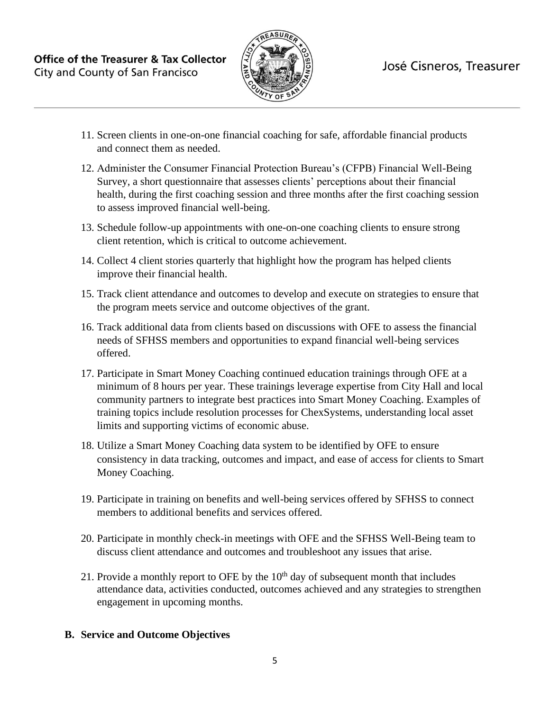

- 11. Screen clients in one-on-one financial coaching for safe, affordable financial products and connect them as needed.
- 12. Administer the Consumer Financial Protection Bureau's (CFPB) Financial Well-Being Survey, a short questionnaire that assesses clients' perceptions about their financial health, during the first coaching session and three months after the first coaching session to assess improved financial well-being.
- 13. Schedule follow-up appointments with one-on-one coaching clients to ensure strong client retention, which is critical to outcome achievement.
- 14. Collect 4 client stories quarterly that highlight how the program has helped clients improve their financial health.
- 15. Track client attendance and outcomes to develop and execute on strategies to ensure that the program meets service and outcome objectives of the grant.
- 16. Track additional data from clients based on discussions with OFE to assess the financial needs of SFHSS members and opportunities to expand financial well-being services offered.
- 17. Participate in Smart Money Coaching continued education trainings through OFE at a minimum of 8 hours per year. These trainings leverage expertise from City Hall and local community partners to integrate best practices into Smart Money Coaching. Examples of training topics include resolution processes for ChexSystems, understanding local asset limits and supporting victims of economic abuse.
- 18. Utilize a Smart Money Coaching data system to be identified by OFE to ensure consistency in data tracking, outcomes and impact, and ease of access for clients to Smart Money Coaching.
- 19. Participate in training on benefits and well-being services offered by SFHSS to connect members to additional benefits and services offered.
- 20. Participate in monthly check-in meetings with OFE and the SFHSS Well-Being team to discuss client attendance and outcomes and troubleshoot any issues that arise.
- 21. Provide a monthly report to OFE by the  $10<sup>th</sup>$  day of subsequent month that includes attendance data, activities conducted, outcomes achieved and any strategies to strengthen engagement in upcoming months.

# **B. Service and Outcome Objectives**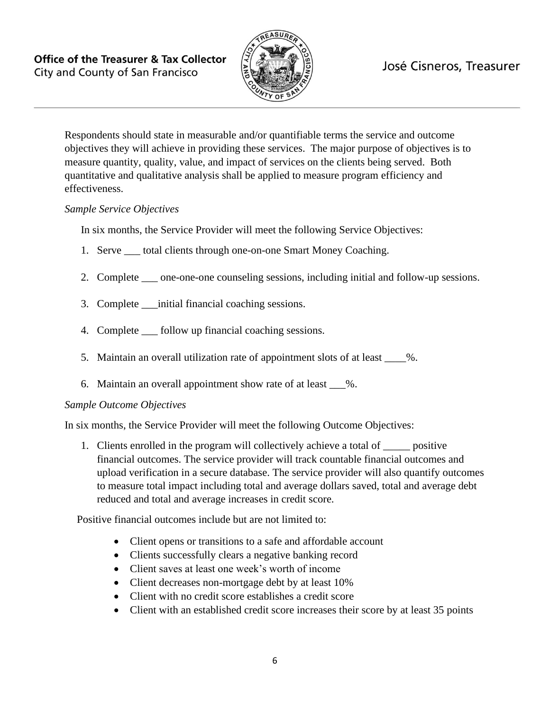

# José Cisneros, Treasurer

Respondents should state in measurable and/or quantifiable terms the service and outcome objectives they will achieve in providing these services. The major purpose of objectives is to measure quantity, quality, value, and impact of services on the clients being served. Both quantitative and qualitative analysis shall be applied to measure program efficiency and effectiveness.

#### *Sample Service Objectives*

In six months, the Service Provider will meet the following Service Objectives:

- 1. Serve \_\_\_ total clients through one-on-one Smart Money Coaching.
- 2. Complete one-one-one counseling sessions, including initial and follow-up sessions.
- 3. Complete \_\_\_initial financial coaching sessions.
- 4. Complete \_\_\_ follow up financial coaching sessions.
- 5. Maintain an overall utilization rate of appointment slots of at least  $\frac{1}{2}$ .
- 6. Maintain an overall appointment show rate of at least \_\_\_%.

#### *Sample Outcome Objectives*

In six months, the Service Provider will meet the following Outcome Objectives:

1. Clients enrolled in the program will collectively achieve a total of positive financial outcomes. The service provider will track countable financial outcomes and upload verification in a secure database. The service provider will also quantify outcomes to measure total impact including total and average dollars saved, total and average debt reduced and total and average increases in credit score.

Positive financial outcomes include but are not limited to:

- Client opens or transitions to a safe and affordable account
- Clients successfully clears a negative banking record
- Client saves at least one week's worth of income
- Client decreases non-mortgage debt by at least 10%
- Client with no credit score establishes a credit score
- Client with an established credit score increases their score by at least 35 points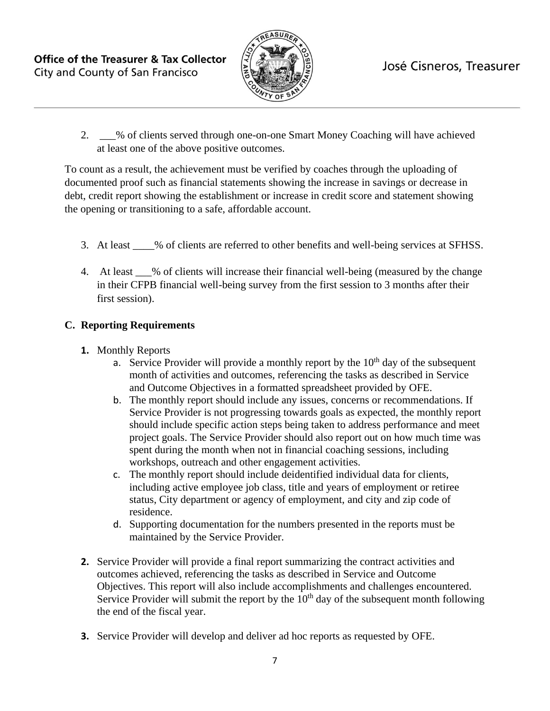

2. \_\_\_% of clients served through one-on-one Smart Money Coaching will have achieved at least one of the above positive outcomes.

To count as a result, the achievement must be verified by coaches through the uploading of documented proof such as financial statements showing the increase in savings or decrease in debt, credit report showing the establishment or increase in credit score and statement showing the opening or transitioning to a safe, affordable account.

- 3. At least \_\_\_\_% of clients are referred to other benefits and well-being services at SFHSS.
- 4. At least  $\%$  of clients will increase their financial well-being (measured by the change in their CFPB financial well-being survey from the first session to 3 months after their first session).

# **C. Reporting Requirements**

- **1.** Monthly Reports
	- a. Service Provider will provide a monthly report by the  $10<sup>th</sup>$  day of the subsequent month of activities and outcomes, referencing the tasks as described in Service and Outcome Objectives in a formatted spreadsheet provided by OFE.
	- b. The monthly report should include any issues, concerns or recommendations. If Service Provider is not progressing towards goals as expected, the monthly report should include specific action steps being taken to address performance and meet project goals. The Service Provider should also report out on how much time was spent during the month when not in financial coaching sessions, including workshops, outreach and other engagement activities.
	- c. The monthly report should include deidentified individual data for clients, including active employee job class, title and years of employment or retiree status, City department or agency of employment, and city and zip code of residence.
	- d. Supporting documentation for the numbers presented in the reports must be maintained by the Service Provider.
- **2.** Service Provider will provide a final report summarizing the contract activities and outcomes achieved, referencing the tasks as described in Service and Outcome Objectives. This report will also include accomplishments and challenges encountered. Service Provider will submit the report by the  $10<sup>th</sup>$  day of the subsequent month following the end of the fiscal year.
- **3.** Service Provider will develop and deliver ad hoc reports as requested by OFE.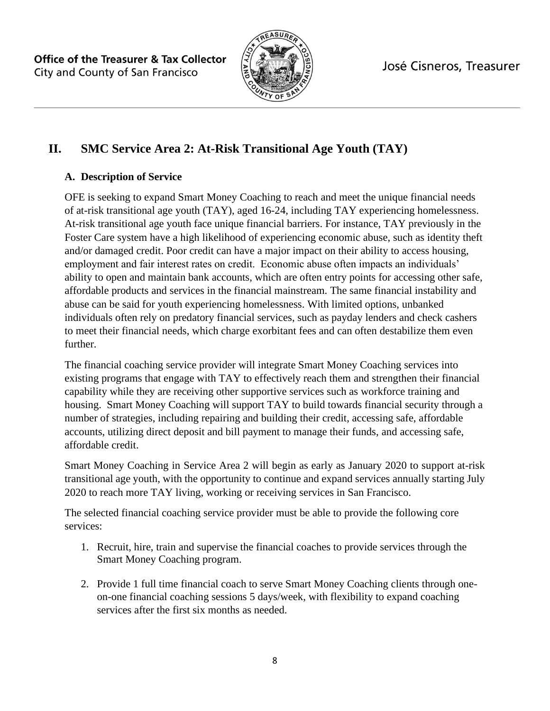

José Cisneros, Treasurer

# **II. SMC Service Area 2: At-Risk Transitional Age Youth (TAY)**

# **A. Description of Service**

OFE is seeking to expand Smart Money Coaching to reach and meet the unique financial needs of at-risk transitional age youth (TAY), aged 16-24, including TAY experiencing homelessness. At-risk transitional age youth face unique financial barriers. For instance, TAY previously in the Foster Care system have a high likelihood of experiencing economic abuse, such as identity theft and/or damaged credit. Poor credit can have a major impact on their ability to access housing, employment and fair interest rates on credit. Economic abuse often impacts an individuals' ability to open and maintain bank accounts, which are often entry points for accessing other safe, affordable products and services in the financial mainstream. The same financial instability and abuse can be said for youth experiencing homelessness. With limited options, unbanked individuals often rely on predatory financial services, such as payday lenders and check cashers to meet their financial needs, which charge exorbitant fees and can often destabilize them even further.

The financial coaching service provider will integrate Smart Money Coaching services into existing programs that engage with TAY to effectively reach them and strengthen their financial capability while they are receiving other supportive services such as workforce training and housing. Smart Money Coaching will support TAY to build towards financial security through a number of strategies, including repairing and building their credit, accessing safe, affordable accounts, utilizing direct deposit and bill payment to manage their funds, and accessing safe, affordable credit.

Smart Money Coaching in Service Area 2 will begin as early as January 2020 to support at-risk transitional age youth, with the opportunity to continue and expand services annually starting July 2020 to reach more TAY living, working or receiving services in San Francisco.

The selected financial coaching service provider must be able to provide the following core services:

- 1. Recruit, hire, train and supervise the financial coaches to provide services through the Smart Money Coaching program.
- 2. Provide 1 full time financial coach to serve Smart Money Coaching clients through oneon-one financial coaching sessions 5 days/week, with flexibility to expand coaching services after the first six months as needed.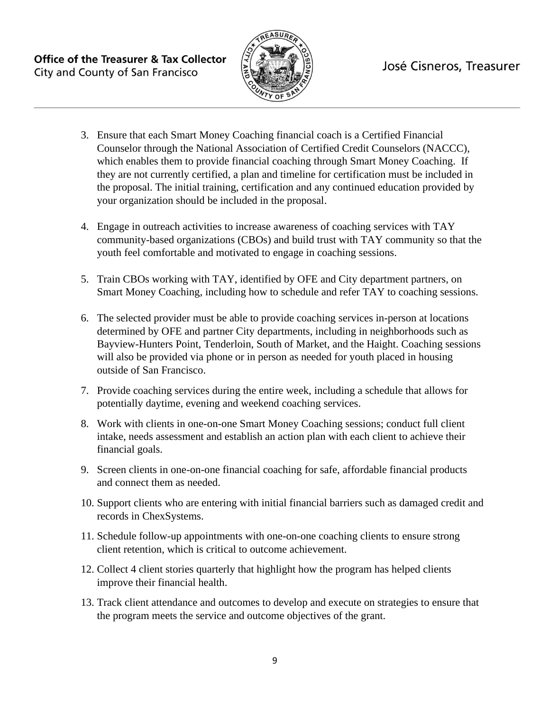

- 3. Ensure that each Smart Money Coaching financial coach is a Certified Financial Counselor through the National Association of Certified Credit Counselors (NACCC), which enables them to provide financial coaching through Smart Money Coaching. If they are not currently certified, a plan and timeline for certification must be included in the proposal. The initial training, certification and any continued education provided by your organization should be included in the proposal.
- 4. Engage in outreach activities to increase awareness of coaching services with TAY community-based organizations (CBOs) and build trust with TAY community so that the youth feel comfortable and motivated to engage in coaching sessions.
- 5. Train CBOs working with TAY, identified by OFE and City department partners, on Smart Money Coaching, including how to schedule and refer TAY to coaching sessions.
- 6. The selected provider must be able to provide coaching services in-person at locations determined by OFE and partner City departments, including in neighborhoods such as Bayview-Hunters Point, Tenderloin, South of Market, and the Haight. Coaching sessions will also be provided via phone or in person as needed for youth placed in housing outside of San Francisco.
- 7. Provide coaching services during the entire week, including a schedule that allows for potentially daytime, evening and weekend coaching services.
- 8. Work with clients in one-on-one Smart Money Coaching sessions; conduct full client intake, needs assessment and establish an action plan with each client to achieve their financial goals.
- 9. Screen clients in one-on-one financial coaching for safe, affordable financial products and connect them as needed.
- 10. Support clients who are entering with initial financial barriers such as damaged credit and records in ChexSystems.
- 11. Schedule follow-up appointments with one-on-one coaching clients to ensure strong client retention, which is critical to outcome achievement.
- 12. Collect 4 client stories quarterly that highlight how the program has helped clients improve their financial health.
- 13. Track client attendance and outcomes to develop and execute on strategies to ensure that the program meets the service and outcome objectives of the grant.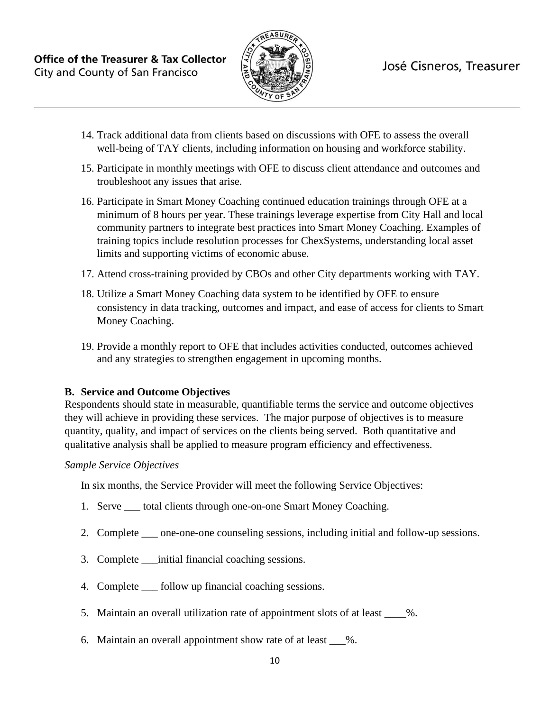

- 14. Track additional data from clients based on discussions with OFE to assess the overall well-being of TAY clients, including information on housing and workforce stability.
- 15. Participate in monthly meetings with OFE to discuss client attendance and outcomes and troubleshoot any issues that arise.
- 16. Participate in Smart Money Coaching continued education trainings through OFE at a minimum of 8 hours per year. These trainings leverage expertise from City Hall and local community partners to integrate best practices into Smart Money Coaching. Examples of training topics include resolution processes for ChexSystems, understanding local asset limits and supporting victims of economic abuse.
- 17. Attend cross-training provided by CBOs and other City departments working with TAY.
- 18. Utilize a Smart Money Coaching data system to be identified by OFE to ensure consistency in data tracking, outcomes and impact, and ease of access for clients to Smart Money Coaching.
- 19. Provide a monthly report to OFE that includes activities conducted, outcomes achieved and any strategies to strengthen engagement in upcoming months.

# **B. Service and Outcome Objectives**

Respondents should state in measurable, quantifiable terms the service and outcome objectives they will achieve in providing these services. The major purpose of objectives is to measure quantity, quality, and impact of services on the clients being served. Both quantitative and qualitative analysis shall be applied to measure program efficiency and effectiveness.

#### *Sample Service Objectives*

In six months, the Service Provider will meet the following Service Objectives:

- 1. Serve \_\_\_ total clients through one-on-one Smart Money Coaching.
- 2. Complete \_\_\_ one-one-one counseling sessions, including initial and follow-up sessions.
- 3. Complete \_\_\_initial financial coaching sessions.
- 4. Complete \_\_\_ follow up financial coaching sessions.
- 5. Maintain an overall utilization rate of appointment slots of at least  $\frac{1}{2}$ .
- 6. Maintain an overall appointment show rate of at least  $\%$ .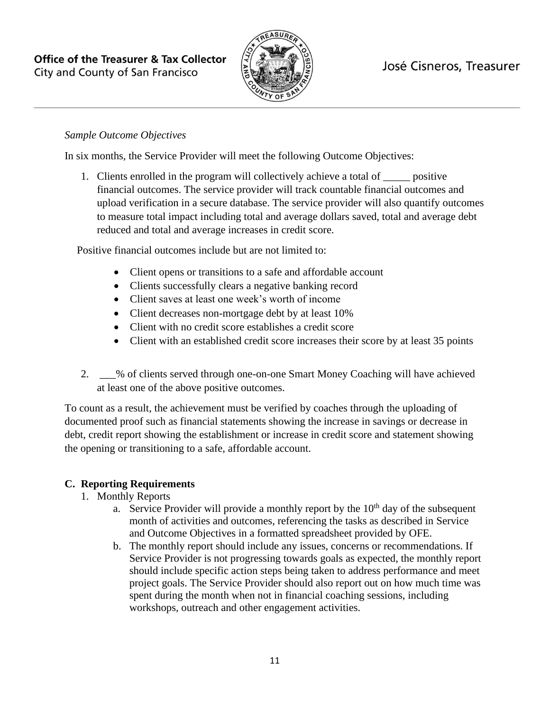

### *Sample Outcome Objectives*

In six months, the Service Provider will meet the following Outcome Objectives:

1. Clients enrolled in the program will collectively achieve a total of \_\_\_\_\_ positive financial outcomes. The service provider will track countable financial outcomes and upload verification in a secure database. The service provider will also quantify outcomes to measure total impact including total and average dollars saved, total and average debt reduced and total and average increases in credit score.

Positive financial outcomes include but are not limited to:

- Client opens or transitions to a safe and affordable account
- Clients successfully clears a negative banking record
- Client saves at least one week's worth of income
- Client decreases non-mortgage debt by at least 10%
- Client with no credit score establishes a credit score
- Client with an established credit score increases their score by at least 35 points
- 2. \_\_\_% of clients served through one-on-one Smart Money Coaching will have achieved at least one of the above positive outcomes.

To count as a result, the achievement must be verified by coaches through the uploading of documented proof such as financial statements showing the increase in savings or decrease in debt, credit report showing the establishment or increase in credit score and statement showing the opening or transitioning to a safe, affordable account.

# **C. Reporting Requirements**

- 1. Monthly Reports
	- a. Service Provider will provide a monthly report by the  $10<sup>th</sup>$  day of the subsequent month of activities and outcomes, referencing the tasks as described in Service and Outcome Objectives in a formatted spreadsheet provided by OFE.
	- b. The monthly report should include any issues, concerns or recommendations. If Service Provider is not progressing towards goals as expected, the monthly report should include specific action steps being taken to address performance and meet project goals. The Service Provider should also report out on how much time was spent during the month when not in financial coaching sessions, including workshops, outreach and other engagement activities.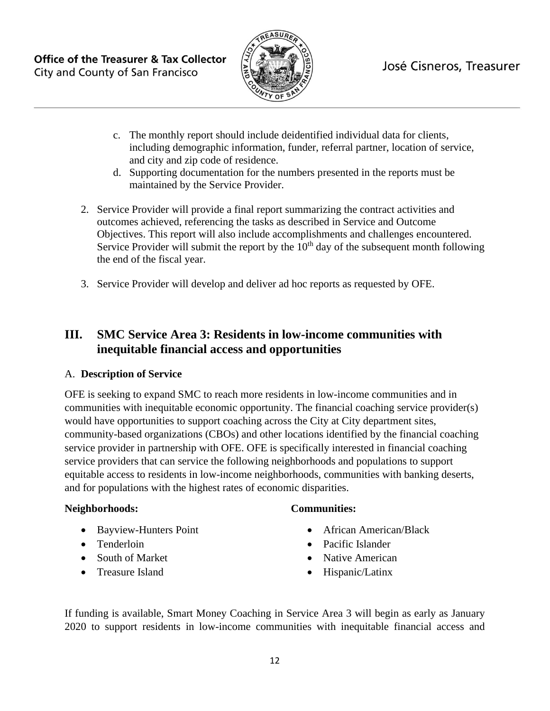

- c. The monthly report should include deidentified individual data for clients, including demographic information, funder, referral partner, location of service, and city and zip code of residence.
- d. Supporting documentation for the numbers presented in the reports must be maintained by the Service Provider.
- 2. Service Provider will provide a final report summarizing the contract activities and outcomes achieved, referencing the tasks as described in Service and Outcome Objectives. This report will also include accomplishments and challenges encountered. Service Provider will submit the report by the  $10<sup>th</sup>$  day of the subsequent month following the end of the fiscal year.
- 3. Service Provider will develop and deliver ad hoc reports as requested by OFE.

# **III. SMC Service Area 3: Residents in low-income communities with inequitable financial access and opportunities**

# A. **Description of Service**

OFE is seeking to expand SMC to reach more residents in low-income communities and in communities with inequitable economic opportunity. The financial coaching service provider(s) would have opportunities to support coaching across the City at City department sites, community-based organizations (CBOs) and other locations identified by the financial coaching service provider in partnership with OFE. OFE is specifically interested in financial coaching service providers that can service the following neighborhoods and populations to support equitable access to residents in low-income neighborhoods, communities with banking deserts, and for populations with the highest rates of economic disparities.

#### **Neighborhoods:**

- Bayview-Hunters Point
- Tenderloin
- South of Market
- Treasure Island

#### **Communities:**

- African American/Black
- Pacific Islander
- Native American
- Hispanic/Latinx

If funding is available, Smart Money Coaching in Service Area 3 will begin as early as January 2020 to support residents in low-income communities with inequitable financial access and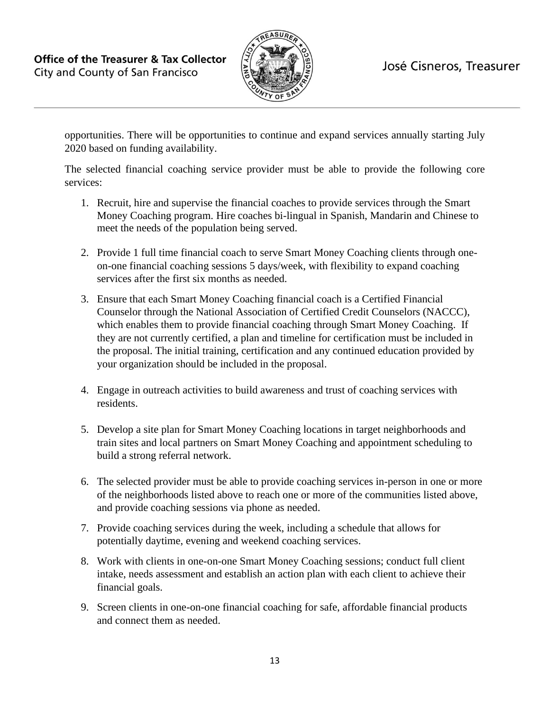

opportunities. There will be opportunities to continue and expand services annually starting July 2020 based on funding availability.

The selected financial coaching service provider must be able to provide the following core services:

- 1. Recruit, hire and supervise the financial coaches to provide services through the Smart Money Coaching program. Hire coaches bi-lingual in Spanish, Mandarin and Chinese to meet the needs of the population being served.
- 2. Provide 1 full time financial coach to serve Smart Money Coaching clients through oneon-one financial coaching sessions 5 days/week, with flexibility to expand coaching services after the first six months as needed.
- 3. Ensure that each Smart Money Coaching financial coach is a Certified Financial Counselor through the National Association of Certified Credit Counselors (NACCC), which enables them to provide financial coaching through Smart Money Coaching. If they are not currently certified, a plan and timeline for certification must be included in the proposal. The initial training, certification and any continued education provided by your organization should be included in the proposal.
- 4. Engage in outreach activities to build awareness and trust of coaching services with residents.
- 5. Develop a site plan for Smart Money Coaching locations in target neighborhoods and train sites and local partners on Smart Money Coaching and appointment scheduling to build a strong referral network.
- 6. The selected provider must be able to provide coaching services in-person in one or more of the neighborhoods listed above to reach one or more of the communities listed above, and provide coaching sessions via phone as needed.
- 7. Provide coaching services during the week, including a schedule that allows for potentially daytime, evening and weekend coaching services.
- 8. Work with clients in one-on-one Smart Money Coaching sessions; conduct full client intake, needs assessment and establish an action plan with each client to achieve their financial goals.
- 9. Screen clients in one-on-one financial coaching for safe, affordable financial products and connect them as needed.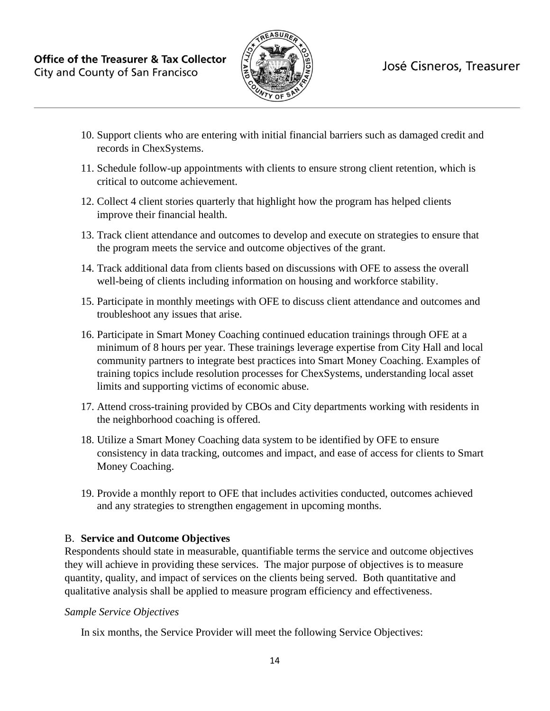

- 10. Support clients who are entering with initial financial barriers such as damaged credit and records in ChexSystems.
- 11. Schedule follow-up appointments with clients to ensure strong client retention, which is critical to outcome achievement.
- 12. Collect 4 client stories quarterly that highlight how the program has helped clients improve their financial health.
- 13. Track client attendance and outcomes to develop and execute on strategies to ensure that the program meets the service and outcome objectives of the grant.
- 14. Track additional data from clients based on discussions with OFE to assess the overall well-being of clients including information on housing and workforce stability.
- 15. Participate in monthly meetings with OFE to discuss client attendance and outcomes and troubleshoot any issues that arise.
- 16. Participate in Smart Money Coaching continued education trainings through OFE at a minimum of 8 hours per year. These trainings leverage expertise from City Hall and local community partners to integrate best practices into Smart Money Coaching. Examples of training topics include resolution processes for ChexSystems, understanding local asset limits and supporting victims of economic abuse.
- 17. Attend cross-training provided by CBOs and City departments working with residents in the neighborhood coaching is offered.
- 18. Utilize a Smart Money Coaching data system to be identified by OFE to ensure consistency in data tracking, outcomes and impact, and ease of access for clients to Smart Money Coaching.
- 19. Provide a monthly report to OFE that includes activities conducted, outcomes achieved and any strategies to strengthen engagement in upcoming months.

# B. **Service and Outcome Objectives**

Respondents should state in measurable, quantifiable terms the service and outcome objectives they will achieve in providing these services. The major purpose of objectives is to measure quantity, quality, and impact of services on the clients being served. Both quantitative and qualitative analysis shall be applied to measure program efficiency and effectiveness.

#### *Sample Service Objectives*

In six months, the Service Provider will meet the following Service Objectives: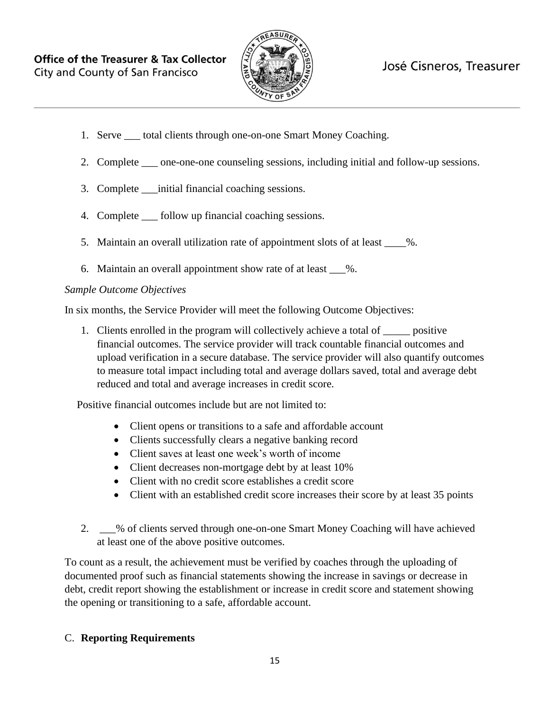

# José Cisneros, Treasurer

- 1. Serve total clients through one-on-one Smart Money Coaching.
- 2. Complete \_\_\_ one-one-one counseling sessions, including initial and follow-up sessions.
- 3. Complete \_\_\_initial financial coaching sessions.
- 4. Complete \_\_\_ follow up financial coaching sessions.
- 5. Maintain an overall utilization rate of appointment slots of at least  $\frac{1}{2}$ .
- 6. Maintain an overall appointment show rate of at least \_\_\_%.

#### *Sample Outcome Objectives*

In six months, the Service Provider will meet the following Outcome Objectives:

1. Clients enrolled in the program will collectively achieve a total of \_\_\_\_\_ positive financial outcomes. The service provider will track countable financial outcomes and upload verification in a secure database. The service provider will also quantify outcomes to measure total impact including total and average dollars saved, total and average debt reduced and total and average increases in credit score.

Positive financial outcomes include but are not limited to:

- Client opens or transitions to a safe and affordable account
- Clients successfully clears a negative banking record
- Client saves at least one week's worth of income
- Client decreases non-mortgage debt by at least 10%
- Client with no credit score establishes a credit score
- Client with an established credit score increases their score by at least 35 points
- 2. \_\_\_% of clients served through one-on-one Smart Money Coaching will have achieved at least one of the above positive outcomes.

To count as a result, the achievement must be verified by coaches through the uploading of documented proof such as financial statements showing the increase in savings or decrease in debt, credit report showing the establishment or increase in credit score and statement showing the opening or transitioning to a safe, affordable account.

#### C. **Reporting Requirements**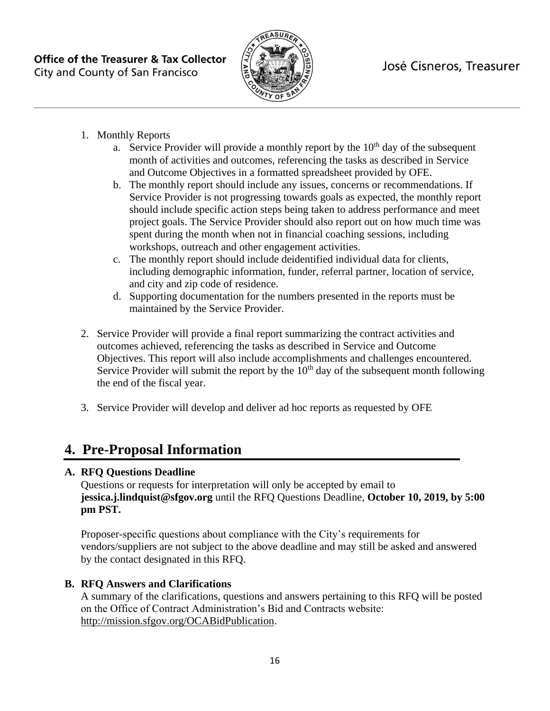

- 1. Monthly Reports
	- a. Service Provider will provide a monthly report by the  $10<sup>th</sup>$  day of the subsequent month of activities and outcomes, referencing the tasks as described in Service and Outcome Objectives in a formatted spreadsheet provided by OFE.
	- b. The monthly report should include any issues, concerns or recommendations. If Service Provider is not progressing towards goals as expected, the monthly report should include specific action steps being taken to address performance and meet project goals. The Service Provider should also report out on how much time was spent during the month when not in financial coaching sessions, including workshops, outreach and other engagement activities.
	- c. The monthly report should include deidentified individual data for clients, including demographic information, funder, referral partner, location of service, and city and zip code of residence.
	- d. Supporting documentation for the numbers presented in the reports must be maintained by the Service Provider.
- 2. Service Provider will provide a final report summarizing the contract activities and outcomes achieved, referencing the tasks as described in Service and Outcome Objectives. This report will also include accomplishments and challenges encountered. Service Provider will submit the report by the  $10<sup>th</sup>$  day of the subsequent month following the end of the fiscal year.
- 3. Service Provider will develop and deliver ad hoc reports as requested by OFE

# **4. Pre-Proposal Information**

# **A. RFQ Questions Deadline**

Questions or requests for interpretation will only be accepted by email to **[jessica.j.lindquist@sfgov.org](#page-0-0)** until the RFQ Questions Deadline, **October 10, 2019, by 5:00 pm PST.**

Proposer-specific questions about compliance with the City's requirements for vendors/suppliers are not subject to the above deadline and may still be asked and answered by the contact designated in this RFQ.

# **B. RFQ Answers and Clarifications**

A summary of the clarifications, questions and answers pertaining to this RFQ will be posted on the Office of Contract Administration's Bid and Contracts website: [http://mission.sfgov.org/OCABidPublication.](http://mission.sfgov.org/OCABidPublication)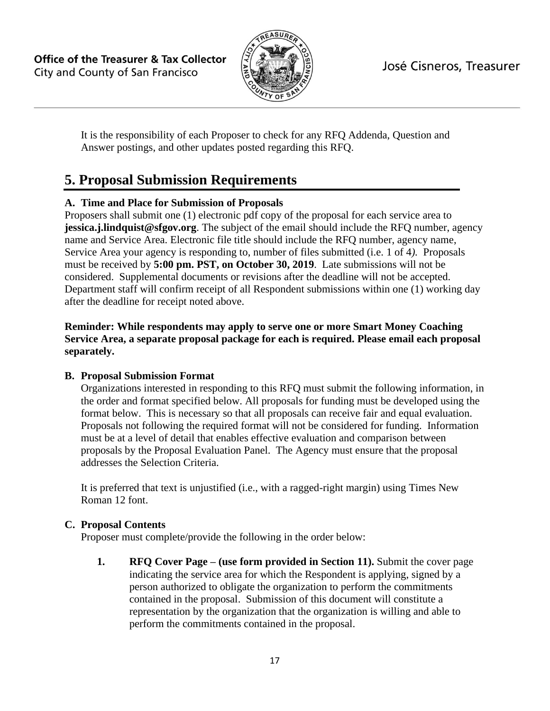

It is the responsibility of each Proposer to check for any RFQ Addenda, Question and Answer postings, and other updates posted regarding this RFQ.

# **5. Proposal Submission Requirements**

# **A. Time and Place for Submission of Proposals**

Proposers shall submit one (1) electronic pdf copy of the proposal for each service area to **jessica.j.lindquist@sfgov.org**. The subject of the email should include the RFQ number, agency name and Service Area. Electronic file title should include the RFQ number, agency name, Service Area your agency is responding to, number of files submitted (i.e. 1 of 4*).* Proposals must be received by **5:00 pm. PST, on October 30, 2019**. Late submissions will not be considered. Supplemental documents or revisions after the deadline will not be accepted. Department staff will confirm receipt of all Respondent submissions within one (1) working day after the deadline for receipt noted above.

#### **Reminder: While respondents may apply to serve one or more Smart Money Coaching Service Area, a separate proposal package for each is required. Please email each proposal separately.**

# **B. Proposal Submission Format**

Organizations interested in responding to this RFQ must submit the following information, in the order and format specified below. All proposals for funding must be developed using the format below. This is necessary so that all proposals can receive fair and equal evaluation. Proposals not following the required format will not be considered for funding. Information must be at a level of detail that enables effective evaluation and comparison between proposals by the Proposal Evaluation Panel. The Agency must ensure that the proposal addresses the Selection Criteria.

It is preferred that text is unjustified (i.e., with a ragged-right margin) using Times New Roman 12 font.

#### **C. Proposal Contents**

Proposer must complete/provide the following in the order below:

**1. RFQ Cover Page – (use form provided in Section 11).** Submit the cover page indicating the service area for which the Respondent is applying, signed by a person authorized to obligate the organization to perform the commitments contained in the proposal. Submission of this document will constitute a representation by the organization that the organization is willing and able to perform the commitments contained in the proposal.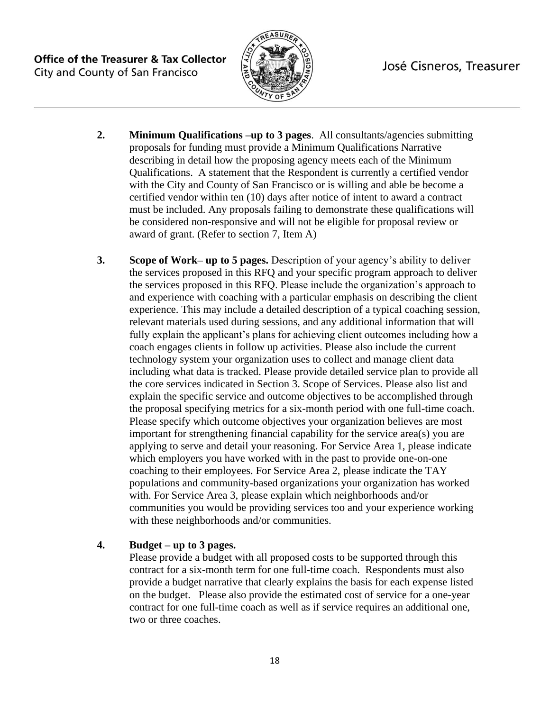

# José Cisneros, Treasurer

- **2. Minimum Qualifications –up to 3 pages**. All consultants/agencies submitting proposals for funding must provide a Minimum Qualifications Narrative describing in detail how the proposing agency meets each of the Minimum Qualifications. A statement that the Respondent is currently a certified vendor with the City and County of San Francisco or is willing and able be become a certified vendor within ten (10) days after notice of intent to award a contract must be included. Any proposals failing to demonstrate these qualifications will be considered non-responsive and will not be eligible for proposal review or award of grant. (Refer to section 7, Item A)
- **3. Scope of Work– up to 5 pages.** Description of your agency's ability to deliver the services proposed in this RFQ and your specific program approach to deliver the services proposed in this RFQ. Please include the organization's approach to and experience with coaching with a particular emphasis on describing the client experience. This may include a detailed description of a typical coaching session, relevant materials used during sessions, and any additional information that will fully explain the applicant's plans for achieving client outcomes including how a coach engages clients in follow up activities. Please also include the current technology system your organization uses to collect and manage client data including what data is tracked. Please provide detailed service plan to provide all the core services indicated in Section 3. Scope of Services. Please also list and explain the specific service and outcome objectives to be accomplished through the proposal specifying metrics for a six-month period with one full-time coach. Please specify which outcome objectives your organization believes are most important for strengthening financial capability for the service area(s) you are applying to serve and detail your reasoning. For Service Area 1, please indicate which employers you have worked with in the past to provide one-on-one coaching to their employees. For Service Area 2, please indicate the TAY populations and community-based organizations your organization has worked with. For Service Area 3, please explain which neighborhoods and/or communities you would be providing services too and your experience working with these neighborhoods and/or communities.

#### **4. Budget – up to 3 pages.**

Please provide a budget with all proposed costs to be supported through this contract for a six-month term for one full-time coach. Respondents must also provide a budget narrative that clearly explains the basis for each expense listed on the budget. Please also provide the estimated cost of service for a one-year contract for one full-time coach as well as if service requires an additional one, two or three coaches.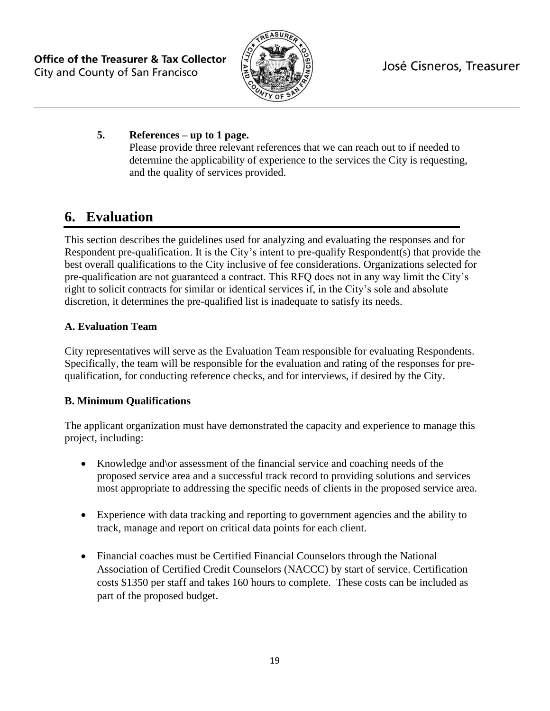

# **5. References – up to 1 page.**

Please provide three relevant references that we can reach out to if needed to determine the applicability of experience to the services the City is requesting, and the quality of services provided.

# **6. Evaluation**

This section describes the guidelines used for analyzing and evaluating the responses and for Respondent pre-qualification. It is the City's intent to pre-qualify Respondent(s) that provide the best overall qualifications to the City inclusive of fee considerations. Organizations selected for pre-qualification are not guaranteed a contract. This RFQ does not in any way limit the City's right to solicit contracts for similar or identical services if, in the City's sole and absolute discretion, it determines the pre-qualified list is inadequate to satisfy its needs.

# **A. Evaluation Team**

City representatives will serve as the Evaluation Team responsible for evaluating Respondents. Specifically, the team will be responsible for the evaluation and rating of the responses for prequalification, for conducting reference checks, and for interviews, if desired by the City.

# **B. Minimum Qualifications**

The applicant organization must have demonstrated the capacity and experience to manage this project, including:

- Knowledge and \or assessment of the financial service and coaching needs of the proposed service area and a successful track record to providing solutions and services most appropriate to addressing the specific needs of clients in the proposed service area.
- Experience with data tracking and reporting to government agencies and the ability to track, manage and report on critical data points for each client.
- Financial coaches must be Certified Financial Counselors through the National Association of Certified Credit Counselors (NACCC) by start of service. Certification costs \$1350 per staff and takes 160 hours to complete. These costs can be included as part of the proposed budget.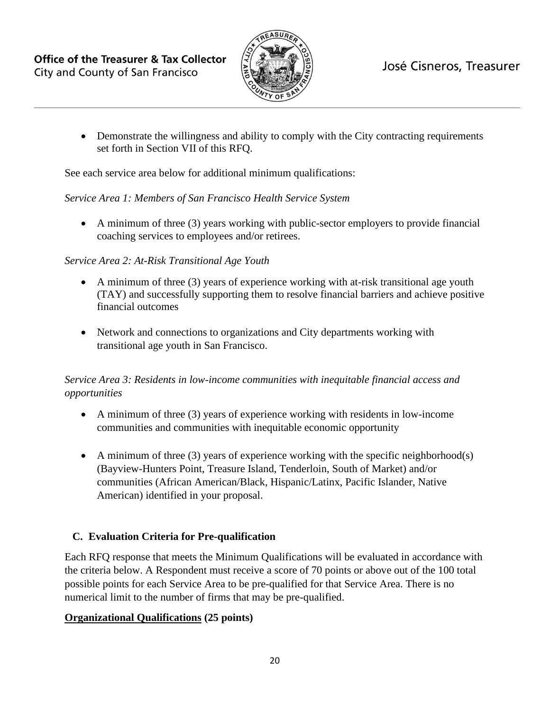

• Demonstrate the willingness and ability to comply with the City contracting requirements set forth in Section VII of this RFQ.

See each service area below for additional minimum qualifications:

### *Service Area 1: Members of San Francisco Health Service System*

• A minimum of three (3) years working with public-sector employers to provide financial coaching services to employees and/or retirees.

# *Service Area 2: At-Risk Transitional Age Youth*

- A minimum of three (3) years of experience working with at-risk transitional age youth (TAY) and successfully supporting them to resolve financial barriers and achieve positive financial outcomes
- Network and connections to organizations and City departments working with transitional age youth in San Francisco.

# *Service Area 3: Residents in low-income communities with inequitable financial access and opportunities*

- A minimum of three (3) years of experience working with residents in low-income communities and communities with inequitable economic opportunity
- A minimum of three (3) years of experience working with the specific neighborhood(s) (Bayview-Hunters Point, Treasure Island, Tenderloin, South of Market) and/or communities (African American/Black, Hispanic/Latinx, Pacific Islander, Native American) identified in your proposal.

# **C. Evaluation Criteria for Pre-qualification**

Each RFQ response that meets the Minimum Qualifications will be evaluated in accordance with the criteria below. A Respondent must receive a score of 70 points or above out of the 100 total possible points for each Service Area to be pre-qualified for that Service Area. There is no numerical limit to the number of firms that may be pre-qualified.

# **Organizational Qualifications (25 points)**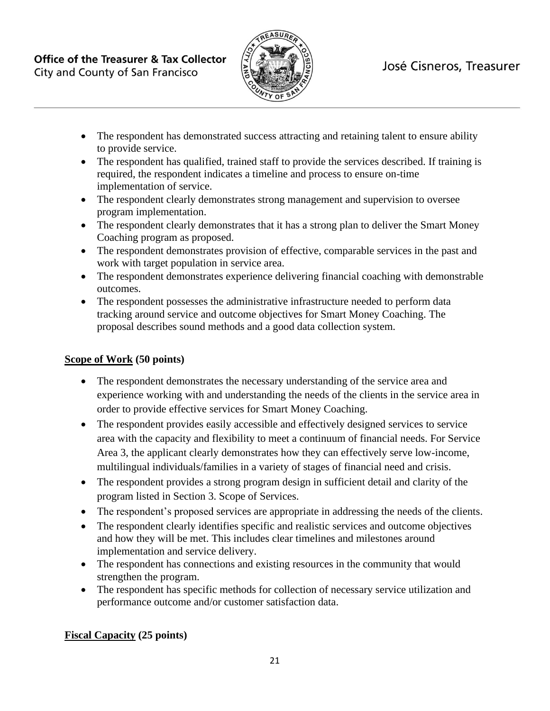

- The respondent has demonstrated success attracting and retaining talent to ensure ability to provide service.
- The respondent has qualified, trained staff to provide the services described. If training is required, the respondent indicates a timeline and process to ensure on-time implementation of service.
- The respondent clearly demonstrates strong management and supervision to oversee program implementation.
- The respondent clearly demonstrates that it has a strong plan to deliver the Smart Money Coaching program as proposed.
- The respondent demonstrates provision of effective, comparable services in the past and work with target population in service area.
- The respondent demonstrates experience delivering financial coaching with demonstrable outcomes.
- The respondent possesses the administrative infrastructure needed to perform data tracking around service and outcome objectives for Smart Money Coaching. The proposal describes sound methods and a good data collection system.

# **Scope of Work (50 points)**

- The respondent demonstrates the necessary understanding of the service area and experience working with and understanding the needs of the clients in the service area in order to provide effective services for Smart Money Coaching.
- The respondent provides easily accessible and effectively designed services to service area with the capacity and flexibility to meet a continuum of financial needs. For Service Area 3, the applicant clearly demonstrates how they can effectively serve low-income, multilingual individuals/families in a variety of stages of financial need and crisis.
- The respondent provides a strong program design in sufficient detail and clarity of the program listed in Section 3. Scope of Services.
- The respondent's proposed services are appropriate in addressing the needs of the clients.
- The respondent clearly identifies specific and realistic services and outcome objectives and how they will be met. This includes clear timelines and milestones around implementation and service delivery.
- The respondent has connections and existing resources in the community that would strengthen the program.
- The respondent has specific methods for collection of necessary service utilization and performance outcome and/or customer satisfaction data.

# **Fiscal Capacity (25 points)**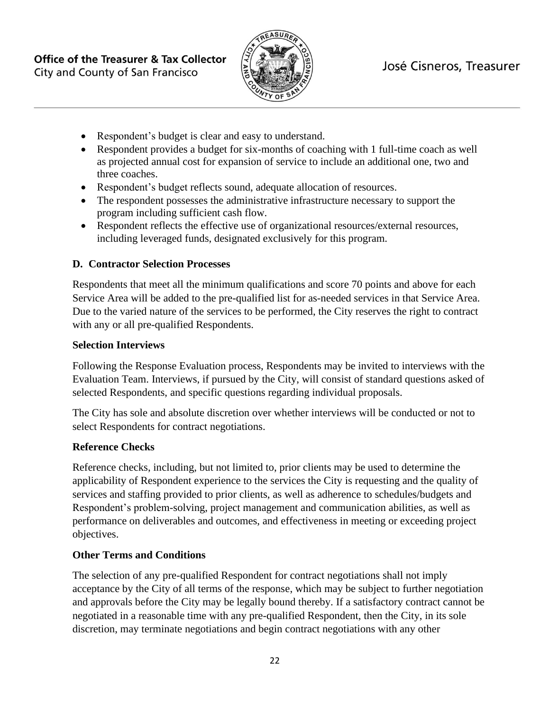

- Respondent's budget is clear and easy to understand.
- Respondent provides a budget for six-months of coaching with 1 full-time coach as well as projected annual cost for expansion of service to include an additional one, two and three coaches.
- Respondent's budget reflects sound, adequate allocation of resources.
- The respondent possesses the administrative infrastructure necessary to support the program including sufficient cash flow.
- Respondent reflects the effective use of organizational resources/external resources, including leveraged funds, designated exclusively for this program.

#### **D. Contractor Selection Processes**

Respondents that meet all the minimum qualifications and score 70 points and above for each Service Area will be added to the pre-qualified list for as-needed services in that Service Area. Due to the varied nature of the services to be performed, the City reserves the right to contract with any or all pre-qualified Respondents.

#### **Selection Interviews**

Following the Response Evaluation process, Respondents may be invited to interviews with the Evaluation Team. Interviews, if pursued by the City, will consist of standard questions asked of selected Respondents, and specific questions regarding individual proposals.

The City has sole and absolute discretion over whether interviews will be conducted or not to select Respondents for contract negotiations.

#### **Reference Checks**

Reference checks, including, but not limited to, prior clients may be used to determine the applicability of Respondent experience to the services the City is requesting and the quality of services and staffing provided to prior clients, as well as adherence to schedules/budgets and Respondent's problem-solving, project management and communication abilities, as well as performance on deliverables and outcomes, and effectiveness in meeting or exceeding project objectives.

#### **Other Terms and Conditions**

The selection of any pre-qualified Respondent for contract negotiations shall not imply acceptance by the City of all terms of the response, which may be subject to further negotiation and approvals before the City may be legally bound thereby. If a satisfactory contract cannot be negotiated in a reasonable time with any pre-qualified Respondent, then the City, in its sole discretion, may terminate negotiations and begin contract negotiations with any other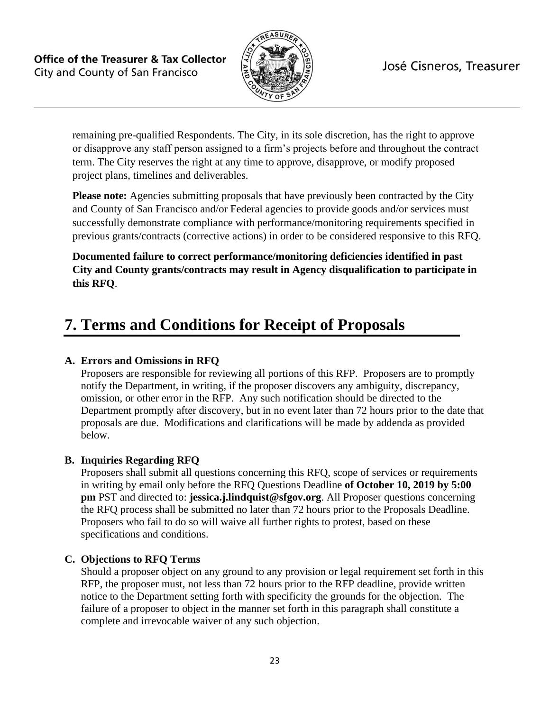

remaining pre-qualified Respondents. The City, in its sole discretion, has the right to approve or disapprove any staff person assigned to a firm's projects before and throughout the contract term. The City reserves the right at any time to approve, disapprove, or modify proposed project plans, timelines and deliverables.

**Please note:** Agencies submitting proposals that have previously been contracted by the City and County of San Francisco and/or Federal agencies to provide goods and/or services must successfully demonstrate compliance with performance/monitoring requirements specified in previous grants/contracts (corrective actions) in order to be considered responsive to this RFQ.

**Documented failure to correct performance/monitoring deficiencies identified in past City and County grants/contracts may result in Agency disqualification to participate in this RFQ**.

# **7. Terms and Conditions for Receipt of Proposals**

# **A. Errors and Omissions in RFQ**

Proposers are responsible for reviewing all portions of this RFP. Proposers are to promptly notify the Department, in writing, if the proposer discovers any ambiguity, discrepancy, omission, or other error in the RFP. Any such notification should be directed to the Department promptly after discovery, but in no event later than 72 hours prior to the date that proposals are due. Modifications and clarifications will be made by addenda as provided below.

#### **B. Inquiries Regarding RFQ**

Proposers shall submit all questions concerning this RFQ, scope of services or requirements in writing by email only before the RFQ Questions Deadline **of October 10, 2019 by 5:00 pm** PST and directed to: **[jessica.j.lindquist@sfgov.org](#page-0-0)**. All Proposer questions concerning the RFQ process shall be submitted no later than 72 hours prior to the Proposals Deadline. Proposers who fail to do so will waive all further rights to protest, based on these specifications and conditions.

#### **C. Objections to RFQ Terms**

Should a proposer object on any ground to any provision or legal requirement set forth in this RFP, the proposer must, not less than 72 hours prior to the RFP deadline, provide written notice to the Department setting forth with specificity the grounds for the objection. The failure of a proposer to object in the manner set forth in this paragraph shall constitute a complete and irrevocable waiver of any such objection.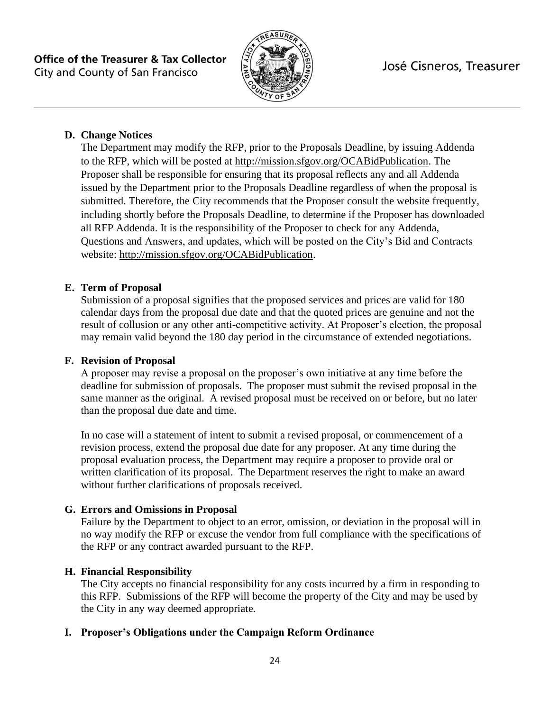

# **D. Change Notices**

The Department may modify the RFP, prior to the Proposals Deadline, by issuing Addenda to the RFP, which will be posted at [http://mission.sfgov.org/OCABidPublication.](http://mission.sfgov.org/OCABidPublication) The Proposer shall be responsible for ensuring that its proposal reflects any and all Addenda issued by the Department prior to the Proposals Deadline regardless of when the proposal is submitted. Therefore, the City recommends that the Proposer consult the website frequently, including shortly before the Proposals Deadline, to determine if the Proposer has downloaded all RFP Addenda. It is the responsibility of the Proposer to check for any Addenda, Questions and Answers, and updates, which will be posted on the City's Bid and Contracts website: [http://mission.sfgov.org/OCABidPublication.](http://mission.sfgov.org/OCABidPublication)

# **E. Term of Proposal**

Submission of a proposal signifies that the proposed services and prices are valid for 180 calendar days from the proposal due date and that the quoted prices are genuine and not the result of collusion or any other anti-competitive activity. At Proposer's election, the proposal may remain valid beyond the 180 day period in the circumstance of extended negotiations.

### **F. Revision of Proposal**

A proposer may revise a proposal on the proposer's own initiative at any time before the deadline for submission of proposals. The proposer must submit the revised proposal in the same manner as the original. A revised proposal must be received on or before, but no later than the proposal due date and time.

In no case will a statement of intent to submit a revised proposal, or commencement of a revision process, extend the proposal due date for any proposer. At any time during the proposal evaluation process, the Department may require a proposer to provide oral or written clarification of its proposal. The Department reserves the right to make an award without further clarifications of proposals received.

# **G. Errors and Omissions in Proposal**

Failure by the Department to object to an error, omission, or deviation in the proposal will in no way modify the RFP or excuse the vendor from full compliance with the specifications of the RFP or any contract awarded pursuant to the RFP.

#### **H. Financial Responsibility**

The City accepts no financial responsibility for any costs incurred by a firm in responding to this RFP. Submissions of the RFP will become the property of the City and may be used by the City in any way deemed appropriate.

# **I. Proposer's Obligations under the Campaign Reform Ordinance**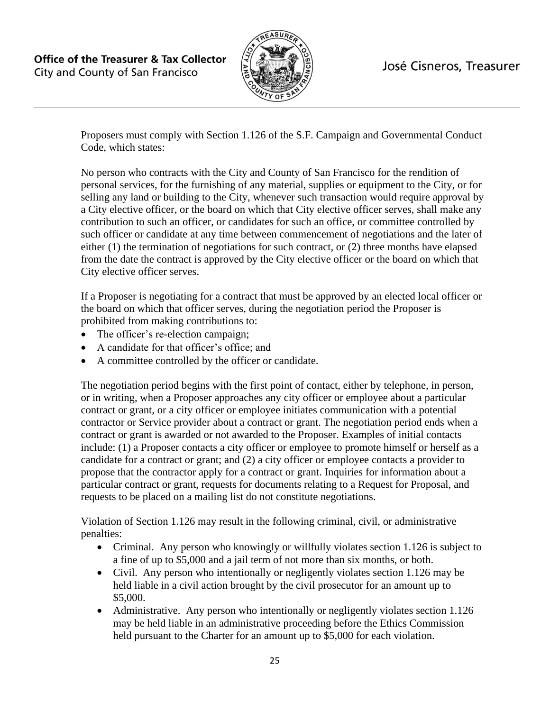

Proposers must comply with Section 1.126 of the S.F. Campaign and Governmental Conduct Code, which states:

No person who contracts with the City and County of San Francisco for the rendition of personal services, for the furnishing of any material, supplies or equipment to the City, or for selling any land or building to the City, whenever such transaction would require approval by a City elective officer, or the board on which that City elective officer serves, shall make any contribution to such an officer, or candidates for such an office, or committee controlled by such officer or candidate at any time between commencement of negotiations and the later of either (1) the termination of negotiations for such contract, or (2) three months have elapsed from the date the contract is approved by the City elective officer or the board on which that City elective officer serves.

If a Proposer is negotiating for a contract that must be approved by an elected local officer or the board on which that officer serves, during the negotiation period the Proposer is prohibited from making contributions to:

- The officer's re-election campaign;
- A candidate for that officer's office; and
- A committee controlled by the officer or candidate.

The negotiation period begins with the first point of contact, either by telephone, in person, or in writing, when a Proposer approaches any city officer or employee about a particular contract or grant, or a city officer or employee initiates communication with a potential contractor or Service provider about a contract or grant. The negotiation period ends when a contract or grant is awarded or not awarded to the Proposer. Examples of initial contacts include: (1) a Proposer contacts a city officer or employee to promote himself or herself as a candidate for a contract or grant; and (2) a city officer or employee contacts a provider to propose that the contractor apply for a contract or grant. Inquiries for information about a particular contract or grant, requests for documents relating to a Request for Proposal, and requests to be placed on a mailing list do not constitute negotiations.

Violation of Section 1.126 may result in the following criminal, civil, or administrative penalties:

- Criminal. Any person who knowingly or willfully violates section 1.126 is subject to a fine of up to \$5,000 and a jail term of not more than six months, or both.
- Civil. Any person who intentionally or negligently violates section 1.126 may be held liable in a civil action brought by the civil prosecutor for an amount up to \$5,000.
- Administrative. Any person who intentionally or negligently violates section 1.126 may be held liable in an administrative proceeding before the Ethics Commission held pursuant to the Charter for an amount up to \$5,000 for each violation.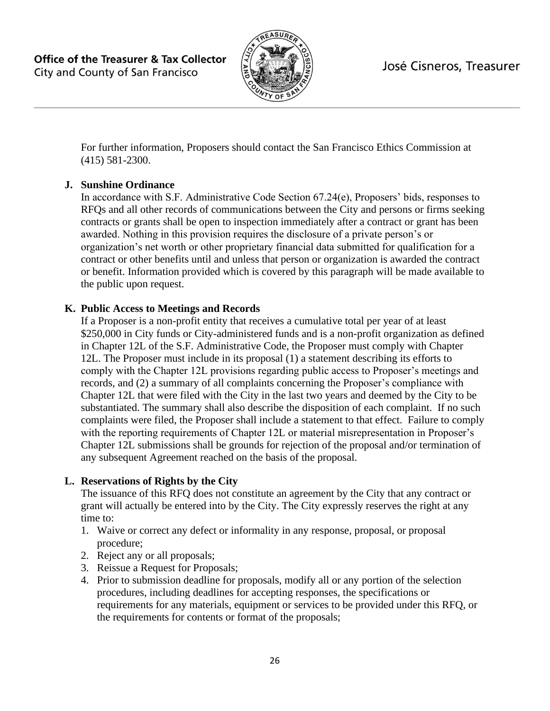

For further information, Proposers should contact the San Francisco Ethics Commission at (415) 581-2300.

# **J. Sunshine Ordinance**

In accordance with S.F. Administrative Code Section 67.24(e), Proposers' bids, responses to RFQs and all other records of communications between the City and persons or firms seeking contracts or grants shall be open to inspection immediately after a contract or grant has been awarded. Nothing in this provision requires the disclosure of a private person's or organization's net worth or other proprietary financial data submitted for qualification for a contract or other benefits until and unless that person or organization is awarded the contract or benefit. Information provided which is covered by this paragraph will be made available to the public upon request.

### **K. Public Access to Meetings and Records**

If a Proposer is a non-profit entity that receives a cumulative total per year of at least \$250,000 in City funds or City-administered funds and is a non-profit organization as defined in Chapter 12L of the S.F. Administrative Code, the Proposer must comply with Chapter 12L. The Proposer must include in its proposal (1) a statement describing its efforts to comply with the Chapter 12L provisions regarding public access to Proposer's meetings and records, and (2) a summary of all complaints concerning the Proposer's compliance with Chapter 12L that were filed with the City in the last two years and deemed by the City to be substantiated. The summary shall also describe the disposition of each complaint. If no such complaints were filed, the Proposer shall include a statement to that effect. Failure to comply with the reporting requirements of Chapter 12L or material misrepresentation in Proposer's Chapter 12L submissions shall be grounds for rejection of the proposal and/or termination of any subsequent Agreement reached on the basis of the proposal.

#### **L. Reservations of Rights by the City**

The issuance of this RFQ does not constitute an agreement by the City that any contract or grant will actually be entered into by the City. The City expressly reserves the right at any time to:

- 1. Waive or correct any defect or informality in any response, proposal, or proposal procedure;
- 2. Reject any or all proposals;
- 3. Reissue a Request for Proposals;
- 4. Prior to submission deadline for proposals, modify all or any portion of the selection procedures, including deadlines for accepting responses, the specifications or requirements for any materials, equipment or services to be provided under this RFQ, or the requirements for contents or format of the proposals;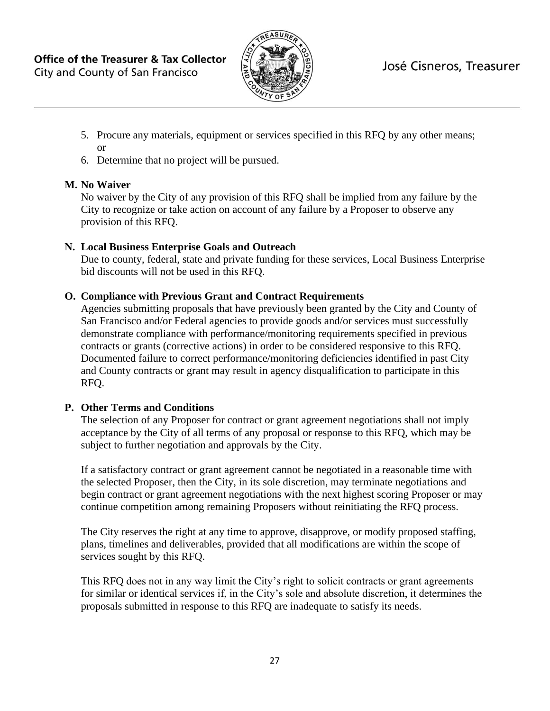

- 5. Procure any materials, equipment or services specified in this RFQ by any other means; or
- 6. Determine that no project will be pursued.

# **M. No Waiver**

No waiver by the City of any provision of this RFQ shall be implied from any failure by the City to recognize or take action on account of any failure by a Proposer to observe any provision of this RFQ.

# **N. Local Business Enterprise Goals and Outreach**

Due to county, federal, state and private funding for these services, Local Business Enterprise bid discounts will not be used in this RFQ.

# **O. Compliance with Previous Grant and Contract Requirements**

Agencies submitting proposals that have previously been granted by the City and County of San Francisco and/or Federal agencies to provide goods and/or services must successfully demonstrate compliance with performance/monitoring requirements specified in previous contracts or grants (corrective actions) in order to be considered responsive to this RFQ. Documented failure to correct performance/monitoring deficiencies identified in past City and County contracts or grant may result in agency disqualification to participate in this RFQ.

# **P. Other Terms and Conditions**

The selection of any Proposer for contract or grant agreement negotiations shall not imply acceptance by the City of all terms of any proposal or response to this RFQ, which may be subject to further negotiation and approvals by the City.

If a satisfactory contract or grant agreement cannot be negotiated in a reasonable time with the selected Proposer, then the City, in its sole discretion, may terminate negotiations and begin contract or grant agreement negotiations with the next highest scoring Proposer or may continue competition among remaining Proposers without reinitiating the RFQ process.

The City reserves the right at any time to approve, disapprove, or modify proposed staffing, plans, timelines and deliverables, provided that all modifications are within the scope of services sought by this RFQ.

This RFQ does not in any way limit the City's right to solicit contracts or grant agreements for similar or identical services if, in the City's sole and absolute discretion, it determines the proposals submitted in response to this RFQ are inadequate to satisfy its needs.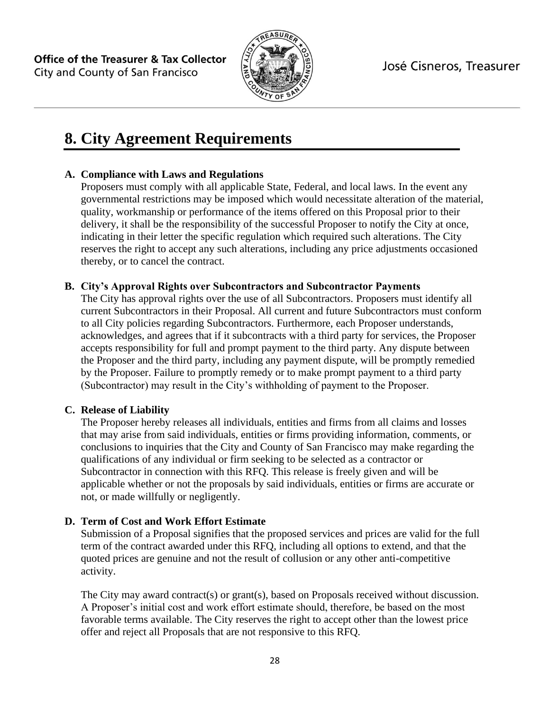

# **8. City Agreement Requirements**

### **A. Compliance with Laws and Regulations**

Proposers must comply with all applicable State, Federal, and local laws. In the event any governmental restrictions may be imposed which would necessitate alteration of the material, quality, workmanship or performance of the items offered on this Proposal prior to their delivery, it shall be the responsibility of the successful Proposer to notify the City at once, indicating in their letter the specific regulation which required such alterations. The City reserves the right to accept any such alterations, including any price adjustments occasioned thereby, or to cancel the contract.

#### **B. City's Approval Rights over Subcontractors and Subcontractor Payments**

The City has approval rights over the use of all Subcontractors. Proposers must identify all current Subcontractors in their Proposal. All current and future Subcontractors must conform to all City policies regarding Subcontractors. Furthermore, each Proposer understands, acknowledges, and agrees that if it subcontracts with a third party for services, the Proposer accepts responsibility for full and prompt payment to the third party. Any dispute between the Proposer and the third party, including any payment dispute, will be promptly remedied by the Proposer. Failure to promptly remedy or to make prompt payment to a third party (Subcontractor) may result in the City's withholding of payment to the Proposer.

#### **C. Release of Liability**

The Proposer hereby releases all individuals, entities and firms from all claims and losses that may arise from said individuals, entities or firms providing information, comments, or conclusions to inquiries that the City and County of San Francisco may make regarding the qualifications of any individual or firm seeking to be selected as a contractor or Subcontractor in connection with this RFQ. This release is freely given and will be applicable whether or not the proposals by said individuals, entities or firms are accurate or not, or made willfully or negligently.

#### **D. Term of Cost and Work Effort Estimate**

Submission of a Proposal signifies that the proposed services and prices are valid for the full term of the contract awarded under this RFQ, including all options to extend, and that the quoted prices are genuine and not the result of collusion or any other anti-competitive activity.

The City may award contract(s) or grant(s), based on Proposals received without discussion. A Proposer's initial cost and work effort estimate should, therefore, be based on the most favorable terms available. The City reserves the right to accept other than the lowest price offer and reject all Proposals that are not responsive to this RFQ.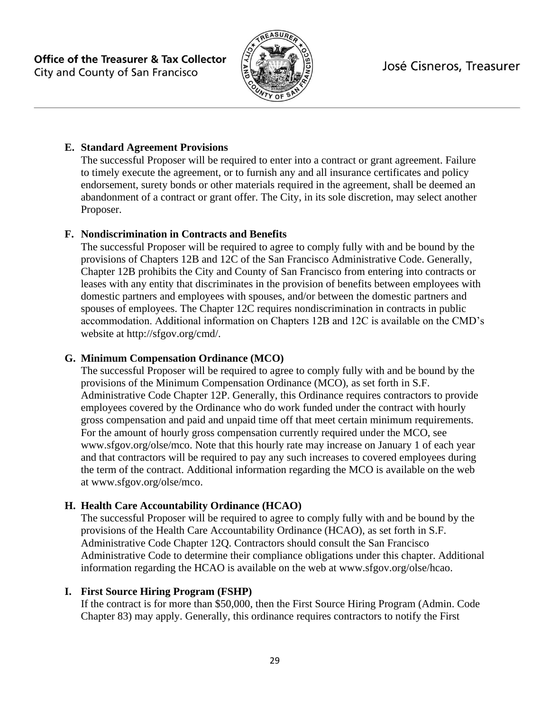

# **E. Standard Agreement Provisions**

The successful Proposer will be required to enter into a contract or grant agreement. Failure to timely execute the agreement, or to furnish any and all insurance certificates and policy endorsement, surety bonds or other materials required in the agreement, shall be deemed an abandonment of a contract or grant offer. The City, in its sole discretion, may select another Proposer.

### **F. Nondiscrimination in Contracts and Benefits**

The successful Proposer will be required to agree to comply fully with and be bound by the provisions of Chapters 12B and 12C of the San Francisco Administrative Code. Generally, Chapter 12B prohibits the City and County of San Francisco from entering into contracts or leases with any entity that discriminates in the provision of benefits between employees with domestic partners and employees with spouses, and/or between the domestic partners and spouses of employees. The Chapter 12C requires nondiscrimination in contracts in public accommodation. Additional information on Chapters 12B and 12C is available on the CMD's website at http://sfgov.org/cmd/.

### **G. Minimum Compensation Ordinance (MCO)**

The successful Proposer will be required to agree to comply fully with and be bound by the provisions of the Minimum Compensation Ordinance (MCO), as set forth in S.F. Administrative Code Chapter 12P. Generally, this Ordinance requires contractors to provide employees covered by the Ordinance who do work funded under the contract with hourly gross compensation and paid and unpaid time off that meet certain minimum requirements. For the amount of hourly gross compensation currently required under the MCO, see www.sfgov.org/olse/mco. Note that this hourly rate may increase on January 1 of each year and that contractors will be required to pay any such increases to covered employees during the term of the contract. Additional information regarding the MCO is available on the web at www.sfgov.org/olse/mco.

# **H. Health Care Accountability Ordinance (HCAO)**

The successful Proposer will be required to agree to comply fully with and be bound by the provisions of the Health Care Accountability Ordinance (HCAO), as set forth in S.F. Administrative Code Chapter 12Q. Contractors should consult the San Francisco Administrative Code to determine their compliance obligations under this chapter. Additional information regarding the HCAO is available on the web at www.sfgov.org/olse/hcao.

# **I. First Source Hiring Program (FSHP)**

If the contract is for more than \$50,000, then the First Source Hiring Program (Admin. Code Chapter 83) may apply. Generally, this ordinance requires contractors to notify the First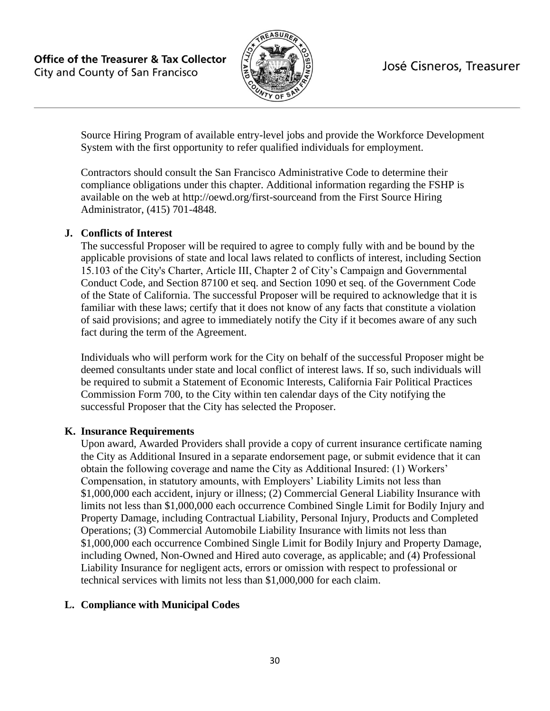

Source Hiring Program of available entry-level jobs and provide the Workforce Development System with the first opportunity to refer qualified individuals for employment.

Contractors should consult the San Francisco Administrative Code to determine their compliance obligations under this chapter. Additional information regarding the FSHP is available on the web at http://oewd.org/first-sourceand from the First Source Hiring Administrator, (415) 701-4848.

#### **J. Conflicts of Interest**

The successful Proposer will be required to agree to comply fully with and be bound by the applicable provisions of state and local laws related to conflicts of interest, including Section 15.103 of the City's Charter, Article III, Chapter 2 of City's Campaign and Governmental Conduct Code, and Section 87100 et seq. and Section 1090 et seq. of the Government Code of the State of California. The successful Proposer will be required to acknowledge that it is familiar with these laws; certify that it does not know of any facts that constitute a violation of said provisions; and agree to immediately notify the City if it becomes aware of any such fact during the term of the Agreement.

Individuals who will perform work for the City on behalf of the successful Proposer might be deemed consultants under state and local conflict of interest laws. If so, such individuals will be required to submit a Statement of Economic Interests, California Fair Political Practices Commission Form 700, to the City within ten calendar days of the City notifying the successful Proposer that the City has selected the Proposer.

#### **K. Insurance Requirements**

Upon award, Awarded Providers shall provide a copy of current insurance certificate naming the City as Additional Insured in a separate endorsement page, or submit evidence that it can obtain the following coverage and name the City as Additional Insured: (1) Workers' Compensation, in statutory amounts, with Employers' Liability Limits not less than \$1,000,000 each accident, injury or illness; (2) Commercial General Liability Insurance with limits not less than \$1,000,000 each occurrence Combined Single Limit for Bodily Injury and Property Damage, including Contractual Liability, Personal Injury, Products and Completed Operations; (3) Commercial Automobile Liability Insurance with limits not less than \$1,000,000 each occurrence Combined Single Limit for Bodily Injury and Property Damage, including Owned, Non-Owned and Hired auto coverage, as applicable; and (4) Professional Liability Insurance for negligent acts, errors or omission with respect to professional or technical services with limits not less than \$1,000,000 for each claim.

#### **L. Compliance with Municipal Codes**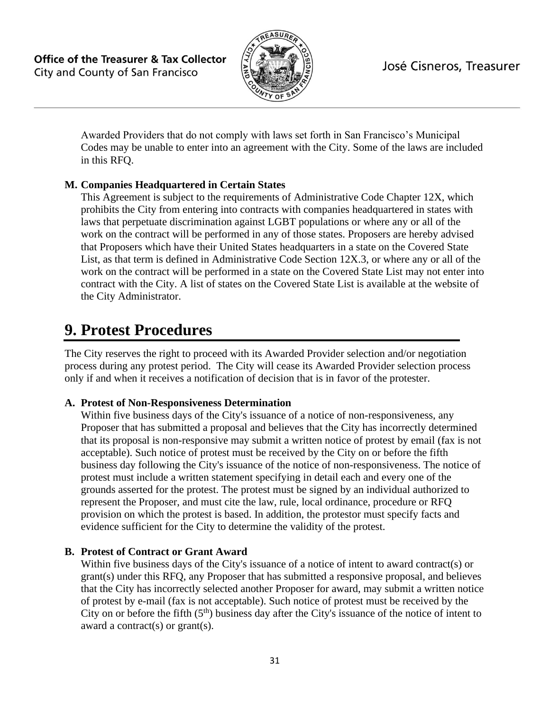

Awarded Providers that do not comply with laws set forth in San Francisco's Municipal Codes may be unable to enter into an agreement with the City. Some of the laws are included in this RFQ.

# **M. Companies Headquartered in Certain States**

This Agreement is subject to the requirements of Administrative Code Chapter 12X, which prohibits the City from entering into contracts with companies headquartered in states with laws that perpetuate discrimination against LGBT populations or where any or all of the work on the contract will be performed in any of those states. Proposers are hereby advised that Proposers which have their United States headquarters in a state on the Covered State List, as that term is defined in Administrative Code Section 12X.3, or where any or all of the work on the contract will be performed in a state on the Covered State List may not enter into contract with the City. A list of states on the Covered State List is available at the website of the City Administrator.

# **9. Protest Procedures**

The City reserves the right to proceed with its Awarded Provider selection and/or negotiation process during any protest period. The City will cease its Awarded Provider selection process only if and when it receives a notification of decision that is in favor of the protester.

# **A. Protest of Non-Responsiveness Determination**

Within five business days of the City's issuance of a notice of non-responsiveness, any Proposer that has submitted a proposal and believes that the City has incorrectly determined that its proposal is non-responsive may submit a written notice of protest by email (fax is not acceptable). Such notice of protest must be received by the City on or before the fifth business day following the City's issuance of the notice of non-responsiveness. The notice of protest must include a written statement specifying in detail each and every one of the grounds asserted for the protest. The protest must be signed by an individual authorized to represent the Proposer, and must cite the law, rule, local ordinance, procedure or RFQ provision on which the protest is based. In addition, the protestor must specify facts and evidence sufficient for the City to determine the validity of the protest.

# **B. Protest of Contract or Grant Award**

Within five business days of the City's issuance of a notice of intent to award contract(s) or grant(s) under this RFQ, any Proposer that has submitted a responsive proposal, and believes that the City has incorrectly selected another Proposer for award, may submit a written notice of protest by e-mail (fax is not acceptable). Such notice of protest must be received by the City on or before the fifth  $(5<sup>th</sup>)$  business day after the City's issuance of the notice of intent to award a contract(s) or grant(s).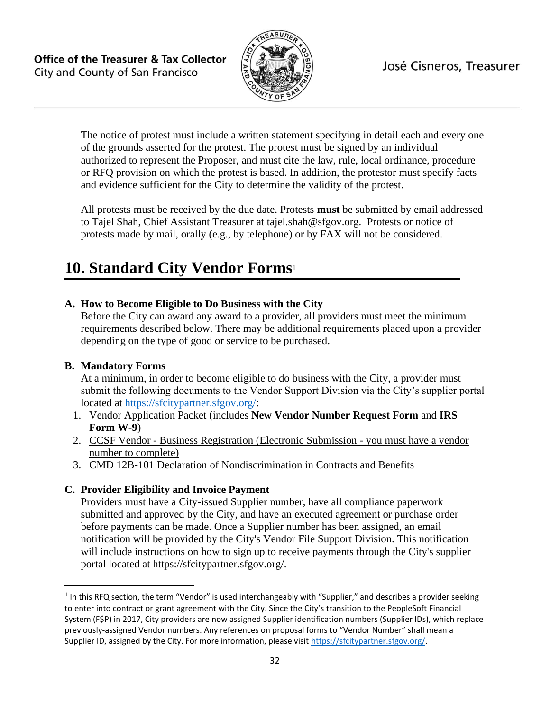

The notice of protest must include a written statement specifying in detail each and every one of the grounds asserted for the protest. The protest must be signed by an individual authorized to represent the Proposer, and must cite the law, rule, local ordinance, procedure or RFQ provision on which the protest is based. In addition, the protestor must specify facts and evidence sufficient for the City to determine the validity of the protest.

All protests must be received by the due date. Protests **must** be submitted by email addressed to Tajel Shah, Chief Assistant Treasurer at tajel.shah@sfgov.org. Protests or notice of protests made by mail, orally (e.g., by telephone) or by FAX will not be considered.

# **10. Standard City Vendor Forms**<sup>1</sup>

### **A. How to Become Eligible to Do Business with the City**

Before the City can award any award to a provider, all providers must meet the minimum requirements described below. There may be additional requirements placed upon a provider depending on the type of good or service to be purchased.

#### **B. Mandatory Forms**

At a minimum, in order to become eligible to do business with the City, a provider must submit the following documents to the Vendor Support Division via the City's supplier portal located at [https://sfcitypartner.sfgov.org/:](https://sfcitypartner.sfgov.org/)

- 1. [Vendor Application Packet](http://sfgov.org/oca/file/167) (includes **New Vendor Number Request Form** and **IRS Form W-9**)
- 2. [CC](http://www.sftreasurer.org/vendor)SF Vendor [Business Registration \(Electronic Submission -](http://www.sftreasurer.org/vendor) you must have a vendor [number to complete\)](http://www.sftreasurer.org/vendor)
- 3. [CMD 12B-101 Declaration](http://sfgov.org/oca/sites/default/files/CMD-12B-101%20Declaration.pdf) of Nondiscrimination in Contracts and Benefits

#### **C. Provider Eligibility and Invoice Payment**

Providers must have a City-issued Supplier number, have all compliance paperwork submitted and approved by the City, and have an executed agreement or purchase order before payments can be made. Once a Supplier number has been assigned, an email notification will be provided by the City's Vendor File Support Division. This notification will include instructions on how to sign up to receive payments through the City's supplier portal located at [https://sfcitypartner.sfgov.org/.](https://sfcitypartner.sfgov.org/)

 $1$  In this RFQ section, the term "Vendor" is used interchangeably with "Supplier," and describes a provider seeking to enter into contract or grant agreement with the City. Since the City's transition to the PeopleSoft Financial System (F\$P) in 2017, City providers are now assigned Supplier identification numbers (Supplier IDs), which replace previously-assigned Vendor numbers. Any references on proposal forms to "Vendor Number" shall mean a Supplier ID, assigned by the City. For more information, please visit [https://sfcitypartner.sfgov.org/.](https://sfcitypartner.sfgov.org/)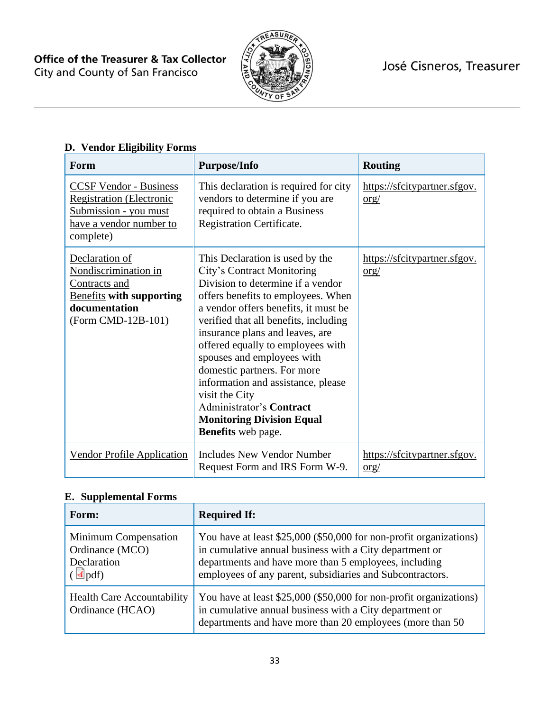

| Form                                                                                                                              | <b>Purpose/Info</b>                                                                                                                                                                                                                                                                                                                                                                                                                                                                                                        | <b>Routing</b>                                                |
|-----------------------------------------------------------------------------------------------------------------------------------|----------------------------------------------------------------------------------------------------------------------------------------------------------------------------------------------------------------------------------------------------------------------------------------------------------------------------------------------------------------------------------------------------------------------------------------------------------------------------------------------------------------------------|---------------------------------------------------------------|
| <b>CCSF Vendor - Business</b><br><b>Registration (Electronic</b><br>Submission - you must<br>have a vendor number to<br>complete) | This declaration is required for city<br>vendors to determine if you are<br>required to obtain a Business<br>Registration Certificate.                                                                                                                                                                                                                                                                                                                                                                                     | https://sfcitypartner.sfgov.<br>$org/$                        |
| Declaration of<br>Nondiscrimination in<br>Contracts and<br><b>Benefits with supporting</b><br>documentation<br>(Form CMD-12B-101) | This Declaration is used by the<br>City's Contract Monitoring<br>Division to determine if a vendor<br>offers benefits to employees. When<br>a vendor offers benefits, it must be<br>verified that all benefits, including<br>insurance plans and leaves, are<br>offered equally to employees with<br>spouses and employees with<br>domestic partners. For more<br>information and assistance, please<br>visit the City<br><b>Administrator's Contract</b><br><b>Monitoring Division Equal</b><br><b>Benefits</b> web page. | https://sfcitypartner.sfgov.<br>org/                          |
| <b>Vendor Profile Application</b>                                                                                                 | <b>Includes New Vendor Number</b><br>Request Form and IRS Form W-9.                                                                                                                                                                                                                                                                                                                                                                                                                                                        | https://sfcitypartner.sfgov.<br>$\frac{\text{org}}{\text{g}}$ |

# **D. Vendor Eligibility Forms**

# **E. Supplemental Forms**

| Form:                                                                                           | <b>Required If:</b>                                                                                                                                                                                                                                 |
|-------------------------------------------------------------------------------------------------|-----------------------------------------------------------------------------------------------------------------------------------------------------------------------------------------------------------------------------------------------------|
| Minimum Compensation<br>Ordinance (MCO)<br>Declaration<br>$\left(\frac{d}{d} \text{pdf}\right)$ | You have at least \$25,000 (\$50,000 for non-profit organizations)<br>in cumulative annual business with a City department or<br>departments and have more than 5 employees, including<br>employees of any parent, subsidiaries and Subcontractors. |
| <b>Health Care Accountability</b><br>Ordinance (HCAO)                                           | You have at least \$25,000 (\$50,000 for non-profit organizations)<br>in cumulative annual business with a City department or<br>departments and have more than 20 employees (more than 50                                                          |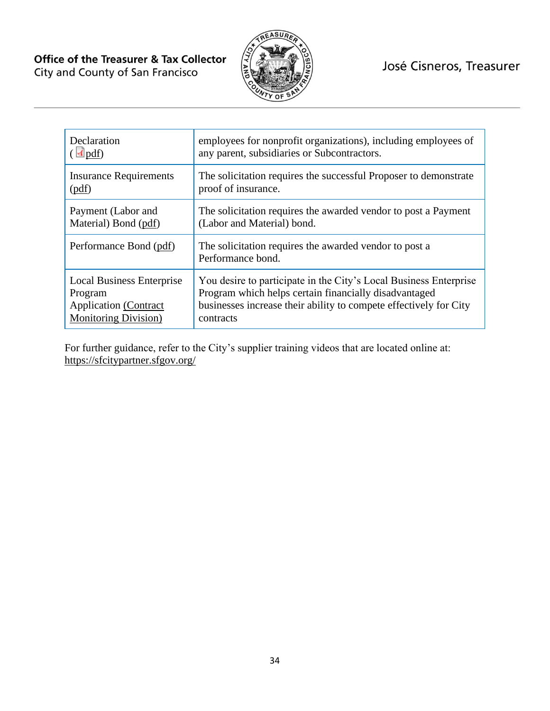

| Declaration                      | employees for nonprofit organizations), including employees of              |
|----------------------------------|-----------------------------------------------------------------------------|
| $\triangleleft$ pdf)             | any parent, subsidiaries or Subcontractors.                                 |
| <b>Insurance Requirements</b>    | The solicitation requires the successful Proposer to demonstrate            |
| (pdf)                            | proof of insurance.                                                         |
| Payment (Labor and               | The solicitation requires the awarded vendor to post a Payment              |
| Material) Bond (pdf)             | (Labor and Material) bond.                                                  |
| Performance Bond (pdf)           | The solicitation requires the awarded vendor to post a<br>Performance bond. |
| <b>Local Business Enterprise</b> | You desire to participate in the City's Local Business Enterprise           |
| Program                          | Program which helps certain financially disadvantaged                       |
| <b>Application</b> (Contract     | businesses increase their ability to compete effectively for City           |
| <b>Monitoring Division</b> )     | contracts                                                                   |

For further guidance, refer to the City's supplier training videos that are located online at: <https://sfcitypartner.sfgov.org/>